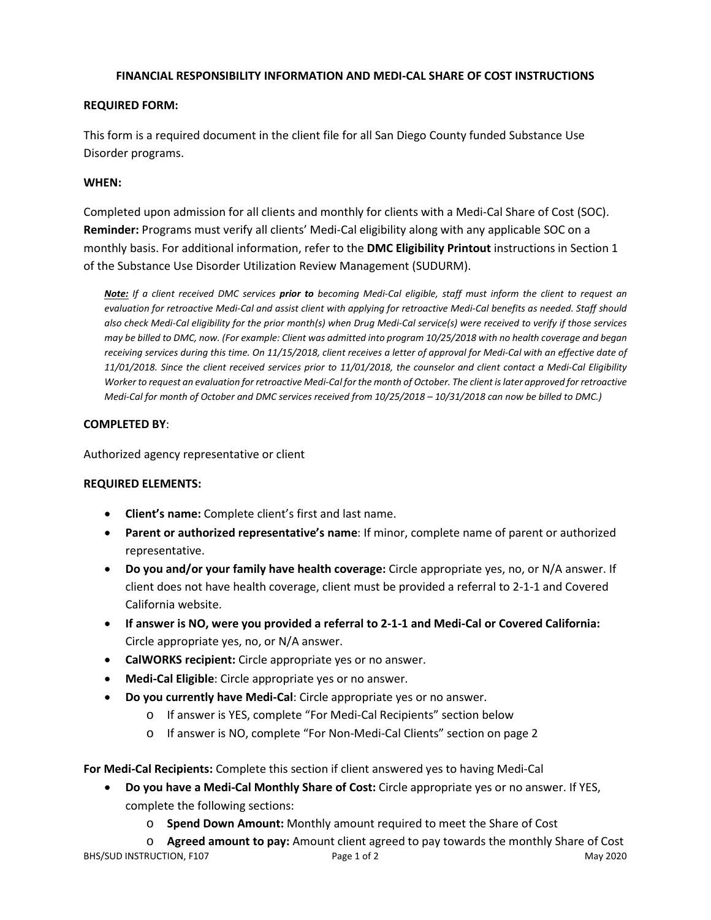### **FINANCIAL RESPONSIBILITY INFORMATION AND MEDI-CAL SHARE OF COST INSTRUCTIONS**

### **REQUIRED FORM:**

This form is a required document in the client file for all San Diego County funded Substance Use Disorder programs.

## **WHEN:**

Completed upon admission for all clients and monthly for clients with a Medi-Cal Share of Cost (SOC). **Reminder:** Programs must verify all clients' Medi-Cal eligibility along with any applicable SOC on a monthly basis. For additional information, refer to the **DMC Eligibility Printout** instructions in Section 1 of the Substance Use Disorder Utilization Review Management (SUDURM).

*Note: If a client received DMC services prior to becoming Medi-Cal eligible, staff must inform the client to request an evaluation for retroactive Medi-Cal and assist client with applying for retroactive Medi-Cal benefits as needed. Staff should also check Medi-Cal eligibility for the prior month(s) when Drug Medi-Cal service(s) were received to verify if those services may be billed to DMC, now. (For example: Client was admitted into program 10/25/2018 with no health coverage and began receiving services during this time. On 11/15/2018, client receives a letter of approval for Medi-Cal with an effective date of 11/01/2018. Since the client received services prior to 11/01/2018, the counselor and client contact a Medi-Cal Eligibility Worker to request an evaluation for retroactive Medi-Cal for the month of October. The client is later approved for retroactive Medi-Cal for month of October and DMC services received from 10/25/2018 – 10/31/2018 can now be billed to DMC.)*

### **COMPLETED BY**:

Authorized agency representative or client

# **REQUIRED ELEMENTS:**

- **Client's name:** Complete client's first and last name.
- **Parent or authorized representative's name**: If minor, complete name of parent or authorized representative.
- **Do you and/or your family have health coverage:** Circle appropriate yes, no, or N/A answer. If client does not have health coverage, client must be provided a referral to 2-1-1 and Covered California website.
- **If answer is NO, were you provided a referral to 2-1-1 and Medi-Cal or Covered California:**  Circle appropriate yes, no, or N/A answer.
- **CalWORKS recipient:** Circle appropriate yes or no answer.
- **Medi-Cal Eligible**: Circle appropriate yes or no answer.
- **Do you currently have Medi-Cal**: Circle appropriate yes or no answer.
	- o If answer is YES, complete "For Medi-Cal Recipients" section below
	- o If answer is NO, complete "For Non-Medi-Cal Clients" section on page 2

**For Medi-Cal Recipients:** Complete this section if client answered yes to having Medi-Cal

- **Do you have a Medi-Cal Monthly Share of Cost:** Circle appropriate yes or no answer. If YES, complete the following sections:
	- o **Spend Down Amount:** Monthly amount required to meet the Share of Cost

BHS/SUD INSTRUCTION, F107 Page 1 of 2 Page 1 of 2 May 2020 o **Agreed amount to pay:** Amount client agreed to pay towards the monthly Share of Cost